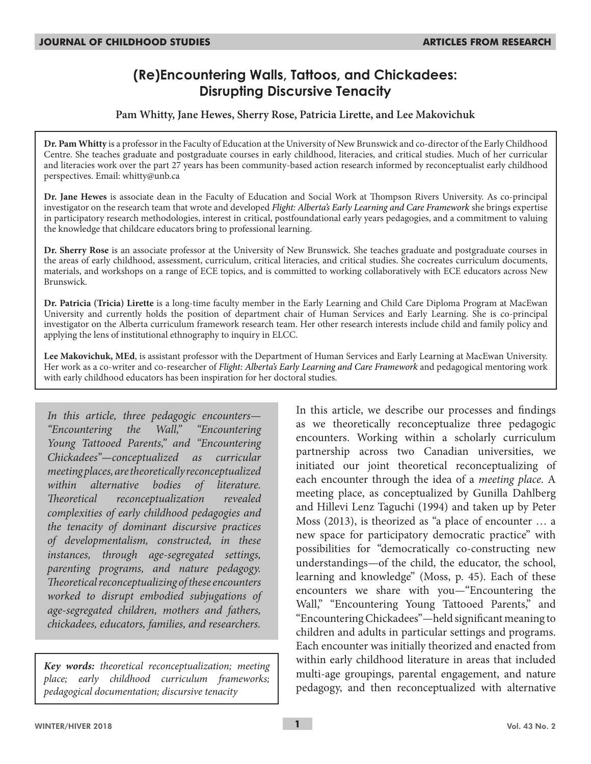# **(Re)Encountering Walls, Tattoos, and Chickadees: Disrupting Discursive Tenacity**

### **Pam Whitty, Jane Hewes, Sherry Rose, Patricia Lirette, and Lee Makovichuk**

**Dr. Pam Whitty** is a professor in the Faculty of Education at the University of New Brunswick and co-director of the Early Childhood Centre. She teaches graduate and postgraduate courses in early childhood, literacies, and critical studies. Much of her curricular and literacies work over the part 27 years has been community-based action research informed by reconceptualist early childhood perspectives. Email: whitty@unb.ca

**Dr. Jane Hewes** is associate dean in the Faculty of Education and Social Work at Thompson Rivers University. As co-principal investigator on the research team that wrote and developed *Flight: Alberta's Early Learning and Care Framework* she brings expertise in participatory research methodologies, interest in critical, postfoundational early years pedagogies, and a commitment to valuing the knowledge that childcare educators bring to professional learning.

**Dr. Sherry Rose** is an associate professor at the University of New Brunswick. She teaches graduate and postgraduate courses in the areas of early childhood, assessment, curriculum, critical literacies, and critical studies. She cocreates curriculum documents, materials, and workshops on a range of ECE topics, and is committed to working collaboratively with ECE educators across New Brunswick.

**Dr. Patricia (Tricia) Lirette** is a long-time faculty member in the Early Learning and Child Care Diploma Program at MacEwan University and currently holds the position of department chair of Human Services and Early Learning. She is co-principal investigator on the Alberta curriculum framework research team. Her other research interests include child and family policy and applying the lens of institutional ethnography to inquiry in ELCC.

**Lee Makovichuk, MEd**, is assistant professor with the Department of Human Services and Early Learning at MacEwan University. Her work as a co-writer and co-researcher of *Flight: Alberta's Early Learning and Care Framework* and pedagogical mentoring work with early childhood educators has been inspiration for her doctoral studies.

*In this article, three pedagogic encounters— "Encountering the Wall," "Encountering Young Tattooed Parents," and "Encountering Chickadees"—conceptualized as curricular meeting places, are theoretically reconceptualized within alternative bodies of literature. Theoretical reconceptualization revealed complexities of early childhood pedagogies and the tenacity of dominant discursive practices of developmentalism, constructed, in these instances, through age-segregated settings, parenting programs, and nature pedagogy. Theoretical reconceptualizing of these encounters worked to disrupt embodied subjugations of age-segregated children, mothers and fathers, chickadees, educators, families, and researchers.*

*Key words: theoretical reconceptualization; meeting place; early childhood curriculum frameworks; pedagogical documentation; discursive tenacity*

In this article, we describe our processes and findings as we theoretically reconceptualize three pedagogic encounters. Working within a scholarly curriculum partnership across two Canadian universities, we initiated our joint theoretical reconceptualizing of each encounter through the idea of a *meeting place*. A meeting place, as conceptualized by Gunilla Dahlberg and Hillevi Lenz Taguchi (1994) and taken up by Peter Moss (2013), is theorized as "a place of encounter … a new space for participatory democratic practice" with possibilities for "democratically co-constructing new understandings—of the child, the educator, the school, learning and knowledge" (Moss, p. 45). Each of these encounters we share with you*—*"Encountering the Wall," "Encountering Young Tattooed Parents," and "Encountering Chickadees"*—*held significant meaning to children and adults in particular settings and programs. Each encounter was initially theorized and enacted from within early childhood literature in areas that included multi-age groupings, parental engagement, and nature pedagogy, and then reconceptualized with alternative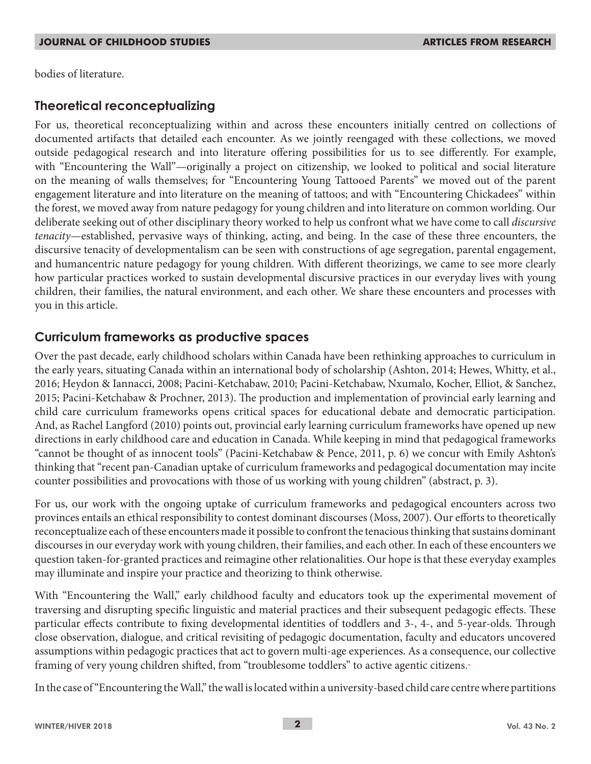bodies of literature.

## **Theoretical reconceptualizing**

For us, theoretical reconceptualizing within and across these encounters initially centred on collections of documented artifacts that detailed each encounter. As we jointly reengaged with these collections, we moved outside pedagogical research and into literature offering possibilities for us to see differently. For example, with "Encountering the Wall"—originally a project on citizenship, we looked to political and social literature on the meaning of walls themselves; for "Encountering Young Tattooed Parents" we moved out of the parent engagement literature and into literature on the meaning of tattoos; and with "Encountering Chickadees" within the forest, we moved away from nature pedagogy for young children and into literature on common worlding. Our deliberate seeking out of other disciplinary theory worked to help us confront what we have come to call *discursive tenacity*—established, pervasive ways of thinking, acting, and being. In the case of these three encounters, the discursive tenacity of developmentalism can be seen with constructions of age segregation, parental engagement, and humancentric nature pedagogy for young children. With different theorizings, we came to see more clearly how particular practices worked to sustain developmental discursive practices in our everyday lives with young children, their families, the natural environment, and each other. We share these encounters and processes with you in this article.

## **Curriculum frameworks as productive spaces**

Over the past decade, early childhood scholars within Canada have been rethinking approaches to curriculum in the early years, situating Canada within an international body of scholarship (Ashton, 2014; Hewes, Whitty, et al., 2016; Heydon & Iannacci, 2008; Pacini-Ketchabaw, 2010; Pacini-Ketchabaw, Nxumalo, Kocher, Elliot, & Sanchez, 2015; Pacini-Ketchabaw & Prochner, 2013). The production and implementation of provincial early learning and child care curriculum frameworks opens critical spaces for educational debate and democratic participation. And, as Rachel Langford (2010) points out, provincial early learning curriculum frameworks have opened up new directions in early childhood care and education in Canada. While keeping in mind that pedagogical frameworks "cannot be thought of as innocent tools" (Pacini-Ketchabaw & Pence, 2011, p. 6) we concur with Emily Ashton's thinking that "recent pan-Canadian uptake of curriculum frameworks and pedagogical documentation may incite counter possibilities and provocations with those of us working with young children" (abstract, p. 3).

For us, our work with the ongoing uptake of curriculum frameworks and pedagogical encounters across two provinces entails an ethical responsibility to contest dominant discourses (Moss, 2007). Our efforts to theoretically reconceptualize each of these encounters made it possible to confront the tenacious thinking that sustains dominant discourses in our everyday work with young children, their families, and each other. In each of these encounters we question taken-for-granted practices and reimagine other relationalities. Our hope is that these everyday examples may illuminate and inspire your practice and theorizing to think otherwise.

With "Encountering the Wall," early childhood faculty and educators took up the experimental movement of traversing and disrupting specific linguistic and material practices and their subsequent pedagogic effects. These particular effects contribute to fixing developmental identities of toddlers and 3-, 4-, and 5-year-olds. Through close observation, dialogue, and critical revisiting of pedagogic documentation, faculty and educators uncovered assumptions within pedagogic practices that act to govern multi-age experiences. As a consequence, our collective framing of very young children shifted, from "troublesome toddlers" to active agentic citizens.

In the case of "Encountering the Wall," the wall is located within a university-based child care centre where partitions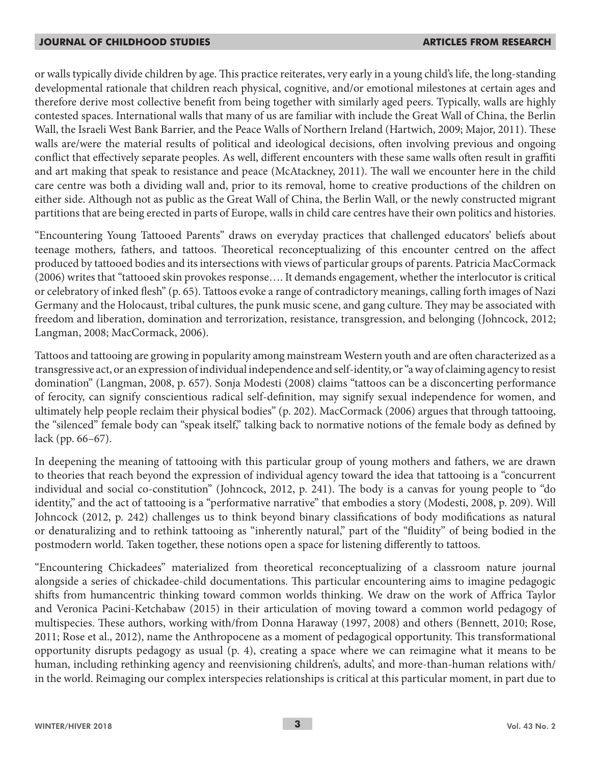or walls typically divide children by age. This practice reiterates, very early in a young child's life, the long-standing developmental rationale that children reach physical, cognitive, and/or emotional milestones at certain ages and therefore derive most collective benefit from being together with similarly aged peers. Typically, walls are highly contested spaces. International walls that many of us are familiar with include the Great Wall of China, the Berlin Wall, the Israeli West Bank Barrier, and the Peace Walls of Northern Ireland (Hartwich, 2009; Major, 2011). These walls are/were the material results of political and ideological decisions, often involving previous and ongoing conflict that effectively separate peoples. As well, different encounters with these same walls often result in graffiti and art making that speak to resistance and peace (McAtackney, 2011). The wall we encounter here in the child care centre was both a dividing wall and, prior to its removal, home to creative productions of the children on either side. Although not as public as the Great Wall of China, the Berlin Wall, or the newly constructed migrant partitions that are being erected in parts of Europe, walls in child care centres have their own politics and histories.

"Encountering Young Tattooed Parents" draws on everyday practices that challenged educators' beliefs about teenage mothers, fathers, and tattoos. Theoretical reconceptualizing of this encounter centred on the affect produced by tattooed bodies and its intersections with views of particular groups of parents. Patricia MacCormack (2006) writes that "tattooed skin provokes response…. It demands engagement, whether the interlocutor is critical or celebratory of inked flesh" (p. 65). Tattoos evoke a range of contradictory meanings, calling forth images of Nazi Germany and the Holocaust, tribal cultures, the punk music scene, and gang culture. They may be associated with freedom and liberation, domination and terrorization, resistance, transgression, and belonging (Johncock, 2012; Langman, 2008; MacCormack, 2006).

Tattoos and tattooing are growing in popularity among mainstream Western youth and are often characterized as a transgressive act, or an expression of individual independence and self-identity, or "a way of claiming agency to resist domination" (Langman, 2008, p. 657). Sonja Modesti (2008) claims "tattoos can be a disconcerting performance of ferocity, can signify conscientious radical self-definition, may signify sexual independence for women, and ultimately help people reclaim their physical bodies" (p. 202). MacCormack (2006) argues that through tattooing, the "silenced" female body can "speak itself," talking back to normative notions of the female body as defined by lack (pp. 66–67).

In deepening the meaning of tattooing with this particular group of young mothers and fathers, we are drawn to theories that reach beyond the expression of individual agency toward the idea that tattooing is a "concurrent individual and social co-constitution" (Johncock, 2012, p. 241). The body is a canvas for young people to "do identity," and the act of tattooing is a "performative narrative" that embodies a story (Modesti, 2008, p. 209). Will Johncock (2012, p. 242) challenges us to think beyond binary classifications of body modifications as natural or denaturalizing and to rethink tattooing as "inherently natural," part of the "fluidity" of being bodied in the postmodern world. Taken together, these notions open a space for listening differently to tattoos.

"Encountering Chickadees" materialized from theoretical reconceptualizing of a classroom nature journal alongside a series of chickadee-child documentations. This particular encountering aims to imagine pedagogic shifts from humancentric thinking toward common worlds thinking. We draw on the work of Affrica Taylor and Veronica Pacini-Ketchabaw (2015) in their articulation of moving toward a common world pedagogy of multispecies. These authors, working with/from Donna Haraway (1997, 2008) and others (Bennett, 2010; Rose, 2011; Rose et al., 2012), name the Anthropocene as a moment of pedagogical opportunity. This transformational opportunity disrupts pedagogy as usual (p. 4), creating a space where we can reimagine what it means to be human, including rethinking agency and reenvisioning children's, adults', and more-than-human relations with/ in the world. Reimaging our complex interspecies relationships is critical at this particular moment, in part due to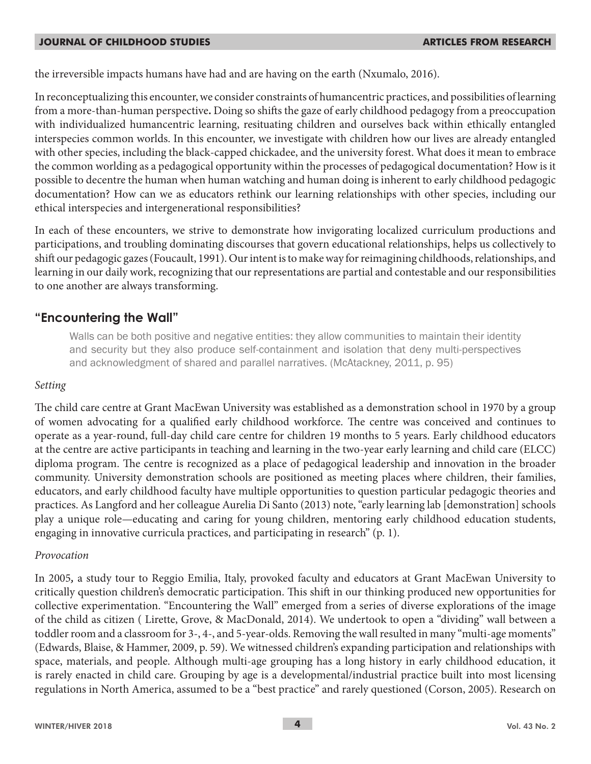the irreversible impacts humans have had and are having on the earth (Nxumalo, 2016).

In reconceptualizing this encounter, we consider constraints of humancentric practices, and possibilities of learning from a more-than-human perspective**.** Doing so shifts the gaze of early childhood pedagogy from a preoccupation with individualized humancentric learning, resituating children and ourselves back within ethically entangled interspecies common worlds. In this encounter, we investigate with children how our lives are already entangled with other species, including the black-capped chickadee, and the university forest. What does it mean to embrace the common worlding as a pedagogical opportunity within the processes of pedagogical documentation? How is it possible to decentre the human when human watching and human doing is inherent to early childhood pedagogic documentation? How can we as educators rethink our learning relationships with other species, including our ethical interspecies and intergenerational responsibilities?

In each of these encounters, we strive to demonstrate how invigorating localized curriculum productions and participations, and troubling dominating discourses that govern educational relationships, helps us collectively to shift our pedagogic gazes (Foucault, 1991). Our intent is to make way for reimagining childhoods, relationships, and learning in our daily work, recognizing that our representations are partial and contestable and our responsibilities to one another are always transforming.

## **"Encountering the Wall"**

Walls can be both positive and negative entities: they allow communities to maintain their identity and security but they also produce self-containment and isolation that deny multi-perspectives and acknowledgment of shared and parallel narratives. (McAtackney, 2011, p. 95)

## *Setting*

The child care centre at Grant MacEwan University was established as a demonstration school in 1970 by a group of women advocating for a qualified early childhood workforce. The centre was conceived and continues to operate as a year-round, full-day child care centre for children 19 months to 5 years. Early childhood educators at the centre are active participants in teaching and learning in the two-year early learning and child care (ELCC) diploma program. The centre is recognized as a place of pedagogical leadership and innovation in the broader community. University demonstration schools are positioned as meeting places where children, their families, educators, and early childhood faculty have multiple opportunities to question particular pedagogic theories and practices. As Langford and her colleague Aurelia Di Santo (2013) note, "early learning lab [demonstration] schools play a unique role—educating and caring for young children, mentoring early childhood education students, engaging in innovative curricula practices, and participating in research" (p. 1).

## *Provocation*

In 2005*,* a study tour to Reggio Emilia, Italy, provoked faculty and educators at Grant MacEwan University to critically question children's democratic participation. This shift in our thinking produced new opportunities for collective experimentation. "Encountering the Wall" emerged from a series of diverse explorations of the image of the child as citizen ( Lirette, Grove, & MacDonald, 2014). We undertook to open a "dividing" wall between a toddler room and a classroom for 3-, 4-, and 5-year-olds. Removing the wall resulted in many "multi-age moments" (Edwards, Blaise, & Hammer, 2009, p. 59). We witnessed children's expanding participation and relationships with space, materials, and people. Although multi-age grouping has a long history in early childhood education, it is rarely enacted in child care. Grouping by age is a developmental/industrial practice built into most licensing regulations in North America, assumed to be a "best practice" and rarely questioned (Corson, 2005). Research on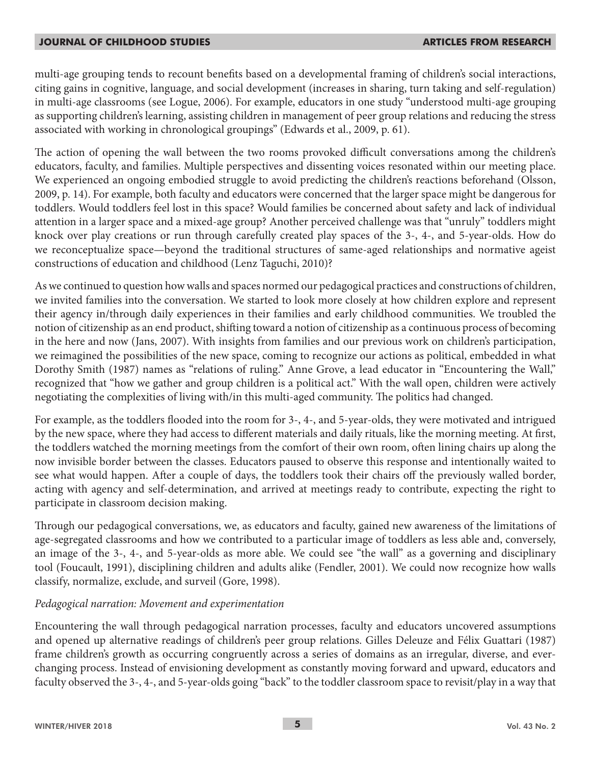multi-age grouping tends to recount benefits based on a developmental framing of children's social interactions, citing gains in cognitive, language, and social development (increases in sharing, turn taking and self-regulation) in multi-age classrooms (see Logue, 2006). For example, educators in one study "understood multi-age grouping as supporting children's learning, assisting children in management of peer group relations and reducing the stress associated with working in chronological groupings" (Edwards et al., 2009, p. 61).

The action of opening the wall between the two rooms provoked difficult conversations among the children's educators, faculty, and families. Multiple perspectives and dissenting voices resonated within our meeting place. We experienced an ongoing embodied struggle to avoid predicting the children's reactions beforehand (Olsson, 2009, p. 14). For example, both faculty and educators were concerned that the larger space might be dangerous for toddlers. Would toddlers feel lost in this space? Would families be concerned about safety and lack of individual attention in a larger space and a mixed-age group? Another perceived challenge was that "unruly" toddlers might knock over play creations or run through carefully created play spaces of the 3-, 4-, and 5-year-olds. How do we reconceptualize space—beyond the traditional structures of same-aged relationships and normative ageist constructions of education and childhood (Lenz Taguchi, 2010)?

As we continued to question how walls and spaces normed our pedagogical practices and constructions of children, we invited families into the conversation. We started to look more closely at how children explore and represent their agency in/through daily experiences in their families and early childhood communities. We troubled the notion of citizenship as an end product, shifting toward a notion of citizenship as a continuous process of becoming in the here and now (Jans, 2007). With insights from families and our previous work on children's participation, we reimagined the possibilities of the new space, coming to recognize our actions as political, embedded in what Dorothy Smith (1987) names as "relations of ruling." Anne Grove, a lead educator in "Encountering the Wall," recognized that "how we gather and group children is a political act." With the wall open, children were actively negotiating the complexities of living with/in this multi-aged community. The politics had changed.

For example, as the toddlers flooded into the room for 3-, 4-, and 5-year-olds, they were motivated and intrigued by the new space, where they had access to different materials and daily rituals, like the morning meeting. At first, the toddlers watched the morning meetings from the comfort of their own room, often lining chairs up along the now invisible border between the classes. Educators paused to observe this response and intentionally waited to see what would happen. After a couple of days, the toddlers took their chairs off the previously walled border, acting with agency and self-determination, and arrived at meetings ready to contribute, expecting the right to participate in classroom decision making.

Through our pedagogical conversations, we, as educators and faculty, gained new awareness of the limitations of age-segregated classrooms and how we contributed to a particular image of toddlers as less able and, conversely, an image of the 3-, 4-, and 5-year-olds as more able. We could see "the wall" as a governing and disciplinary tool (Foucault, 1991), disciplining children and adults alike (Fendler, 2001). We could now recognize how walls classify, normalize, exclude, and surveil (Gore, 1998).

## *Pedagogical narration: Movement and experimentation*

Encountering the wall through pedagogical narration processes, faculty and educators uncovered assumptions and opened up alternative readings of children's peer group relations. Gilles Deleuze and Félix Guattari (1987) frame children's growth as occurring congruently across a series of domains as an irregular, diverse, and everchanging process. Instead of envisioning development as constantly moving forward and upward, educators and faculty observed the 3-, 4-, and 5-year-olds going "back" to the toddler classroom space to revisit/play in a way that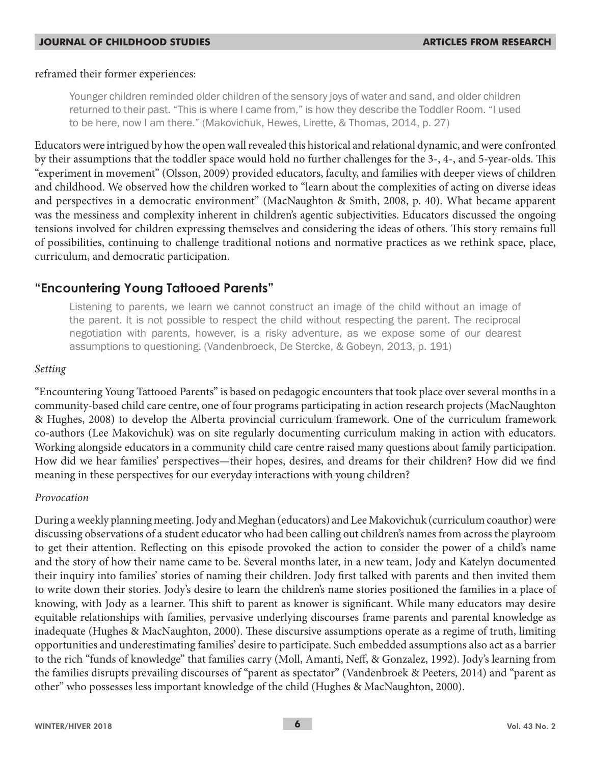### reframed their former experiences:

Younger children reminded older children of the sensory joys of water and sand, and older children returned to their past. "This is where I came from," is how they describe the Toddler Room. "I used to be here, now I am there." (Makovichuk, Hewes, Lirette, & Thomas, 2014, p. 27)

Educators were intrigued by how the open wall revealed this historical and relational dynamic, and were confronted by their assumptions that the toddler space would hold no further challenges for the 3-, 4-, and 5-year-olds. This "experiment in movement" (Olsson, 2009) provided educators, faculty, and families with deeper views of children and childhood. We observed how the children worked to "learn about the complexities of acting on diverse ideas and perspectives in a democratic environment" (MacNaughton & Smith, 2008, p. 40). What became apparent was the messiness and complexity inherent in children's agentic subjectivities. Educators discussed the ongoing tensions involved for children expressing themselves and considering the ideas of others. This story remains full of possibilities, continuing to challenge traditional notions and normative practices as we rethink space, place, curriculum, and democratic participation.

## **"Encountering Young Tattooed Parents"**

Listening to parents, we learn we cannot construct an image of the child without an image of the parent. It is not possible to respect the child without respecting the parent. The reciprocal negotiation with parents, however, is a risky adventure, as we expose some of our dearest assumptions to questioning. (Vandenbroeck, De Stercke, & Gobeyn, 2013, p. 191)

## *Setting*

"Encountering Young Tattooed Parents" is based on pedagogic encounters that took place over several months in a community-based child care centre, one of four programs participating in action research projects (MacNaughton & Hughes, 2008) to develop the Alberta provincial curriculum framework. One of the curriculum framework co-authors (Lee Makovichuk) was on site regularly documenting curriculum making in action with educators. Working alongside educators in a community child care centre raised many questions about family participation. How did we hear families' perspectives—their hopes, desires, and dreams for their children? How did we find meaning in these perspectives for our everyday interactions with young children?

## *Provocation*

During a weekly planning meeting. Jody and Meghan (educators) and Lee Makovichuk (curriculum coauthor) were discussing observations of a student educator who had been calling out children's names from across the playroom to get their attention. Reflecting on this episode provoked the action to consider the power of a child's name and the story of how their name came to be. Several months later, in a new team, Jody and Katelyn documented their inquiry into families' stories of naming their children. Jody first talked with parents and then invited them to write down their stories. Jody's desire to learn the children's name stories positioned the families in a place of knowing, with Jody as a learner. This shift to parent as knower is significant. While many educators may desire equitable relationships with families, pervasive underlying discourses frame parents and parental knowledge as inadequate (Hughes & MacNaughton, 2000). These discursive assumptions operate as a regime of truth, limiting opportunities and underestimating families' desire to participate. Such embedded assumptions also act as a barrier to the rich "funds of knowledge" that families carry (Moll, Amanti, Neff, & Gonzalez, 1992). Jody's learning from the families disrupts prevailing discourses of "parent as spectator" (Vandenbroek & Peeters, 2014) and "parent as other" who possesses less important knowledge of the child (Hughes & MacNaughton, 2000).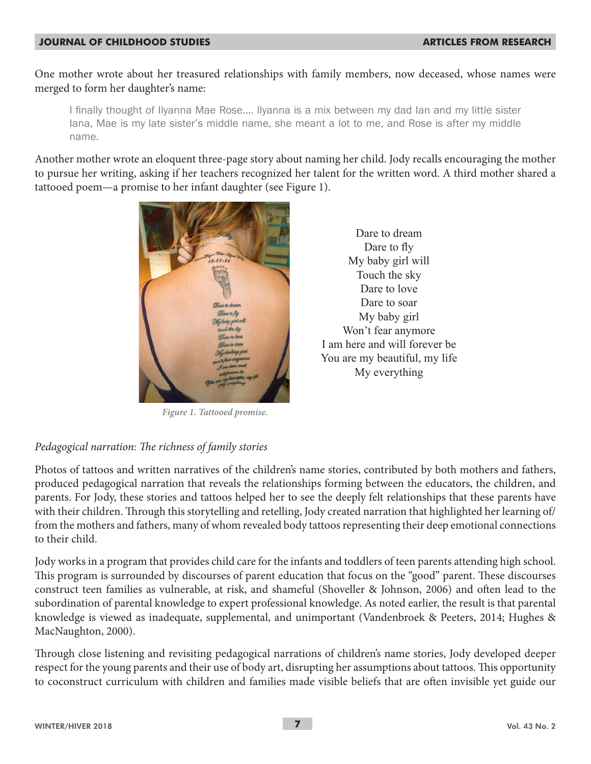One mother wrote about her treasured relationships with family members, now deceased, whose names were merged to form her daughter's name:

I finally thought of Ilyanna Mae Rose…. llyanna is a mix between my dad Ian and my little sister Iana, Mae is my late sister's middle name, she meant a lot to me, and Rose is after my middle name.

Another mother wrote an eloquent three-page story about naming her child. Jody recalls encouraging the mother to pursue her writing, asking if her teachers recognized her talent for the written word. A third mother shared a tattooed poem—a promise to her infant daughter (see Figure 1).



*Figure 1. Tattooed promise.*

Dare to dream Dare to fly My baby girl will Touch the sky Dare to love Dare to soar My baby girl Won't fear anymore I am here and will forever be You are my beautiful, my life My everything

## *Pedagogical narration: The richness of family stories*

Photos of tattoos and written narratives of the children's name stories, contributed by both mothers and fathers, produced pedagogical narration that reveals the relationships forming between the educators, the children, and parents. For Jody, these stories and tattoos helped her to see the deeply felt relationships that these parents have with their children. Through this storytelling and retelling, Jody created narration that highlighted her learning of/ from the mothers and fathers, many of whom revealed body tattoos representing their deep emotional connections to their child.

Jody works in a program that provides child care for the infants and toddlers of teen parents attending high school. This program is surrounded by discourses of parent education that focus on the "good" parent. These discourses construct teen families as vulnerable, at risk, and shameful (Shoveller & Johnson, 2006) and often lead to the subordination of parental knowledge to expert professional knowledge. As noted earlier, the result is that parental knowledge is viewed as inadequate, supplemental, and unimportant (Vandenbroek & Peeters, 2014; Hughes & MacNaughton, 2000).

Through close listening and revisiting pedagogical narrations of children's name stories, Jody developed deeper respect for the young parents and their use of body art, disrupting her assumptions about tattoos. This opportunity to coconstruct curriculum with children and families made visible beliefs that are often invisible yet guide our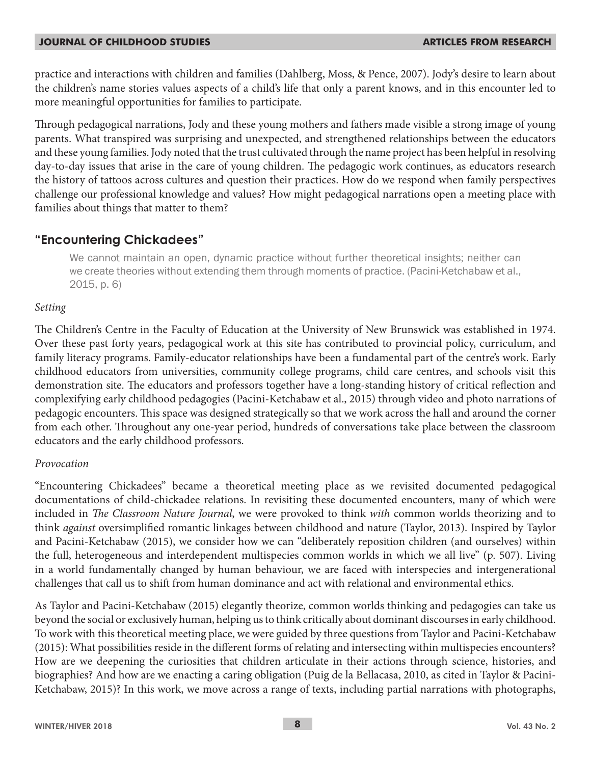practice and interactions with children and families (Dahlberg, Moss, & Pence, 2007). Jody's desire to learn about the children's name stories values aspects of a child's life that only a parent knows, and in this encounter led to more meaningful opportunities for families to participate.

Through pedagogical narrations, Jody and these young mothers and fathers made visible a strong image of young parents. What transpired was surprising and unexpected, and strengthened relationships between the educators and these young families. Jody noted that the trust cultivated through the name project has been helpful in resolving day-to-day issues that arise in the care of young children. The pedagogic work continues, as educators research the history of tattoos across cultures and question their practices. How do we respond when family perspectives challenge our professional knowledge and values? How might pedagogical narrations open a meeting place with families about things that matter to them?

## **"Encountering Chickadees"**

We cannot maintain an open, dynamic practice without further theoretical insights; neither can we create theories without extending them through moments of practice. (Pacini-Ketchabaw et al., 2015, p. 6)

## *Setting*

The Children's Centre in the Faculty of Education at the University of New Brunswick was established in 1974. Over these past forty years, pedagogical work at this site has contributed to provincial policy, curriculum, and family literacy programs. Family-educator relationships have been a fundamental part of the centre's work. Early childhood educators from universities, community college programs, child care centres, and schools visit this demonstration site. The educators and professors together have a long-standing history of critical reflection and complexifying early childhood pedagogies (Pacini-Ketchabaw et al., 2015) through video and photo narrations of pedagogic encounters. This space was designed strategically so that we work across the hall and around the corner from each other. Throughout any one-year period, hundreds of conversations take place between the classroom educators and the early childhood professors.

## *Provocation*

"Encountering Chickadees" became a theoretical meeting place as we revisited documented pedagogical documentations of child-chickadee relations. In revisiting these documented encounters, many of which were included in *The Classroom Nature Journal*, we were provoked to think *with* common worlds theorizing and to think *against* oversimplified romantic linkages between childhood and nature (Taylor, 2013). Inspired by Taylor and Pacini-Ketchabaw (2015), we consider how we can "deliberately reposition children (and ourselves) within the full, heterogeneous and interdependent multispecies common worlds in which we all live" (p. 507). Living in a world fundamentally changed by human behaviour, we are faced with interspecies and intergenerational challenges that call us to shift from human dominance and act with relational and environmental ethics.

As Taylor and Pacini-Ketchabaw (2015) elegantly theorize, common worlds thinking and pedagogies can take us beyond the social or exclusively human, helping us to think critically about dominant discourses in early childhood. To work with this theoretical meeting place, we were guided by three questions from Taylor and Pacini-Ketchabaw (2015): What possibilities reside in the different forms of relating and intersecting within multispecies encounters? How are we deepening the curiosities that children articulate in their actions through science, histories, and biographies? And how are we enacting a caring obligation (Puig de la Bellacasa, 2010, as cited in Taylor & Pacini-Ketchabaw, 2015)? In this work, we move across a range of texts, including partial narrations with photographs,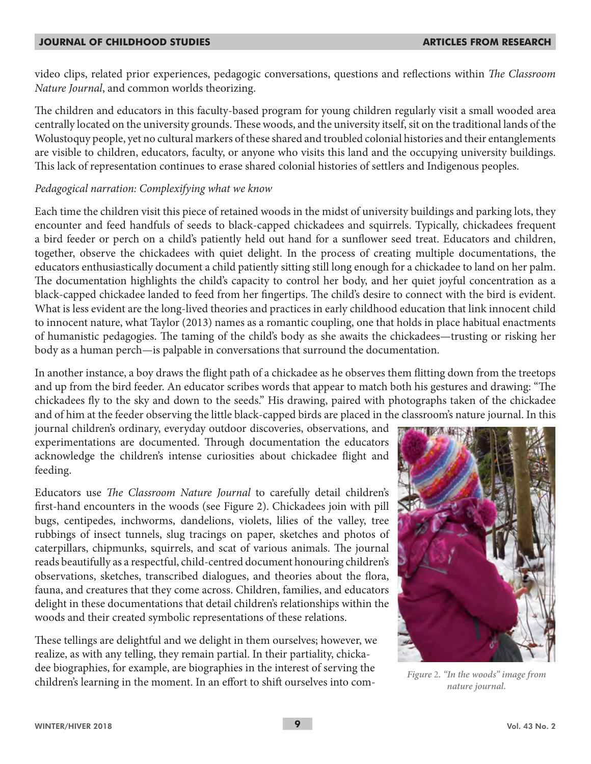video clips, related prior experiences, pedagogic conversations, questions and reflections within *The Classroom Nature Journal*, and common worlds theorizing.

The children and educators in this faculty-based program for young children regularly visit a small wooded area centrally located on the university grounds. These woods, and the university itself, sit on the traditional lands of the Wolustoquy people, yet no cultural markers of these shared and troubled colonial histories and their entanglements are visible to children, educators, faculty, or anyone who visits this land and the occupying university buildings. This lack of representation continues to erase shared colonial histories of settlers and Indigenous peoples.

## *Pedagogical narration: Complexifying what we know*

Each time the children visit this piece of retained woods in the midst of university buildings and parking lots, they encounter and feed handfuls of seeds to black-capped chickadees and squirrels. Typically, chickadees frequent a bird feeder or perch on a child's patiently held out hand for a sunflower seed treat. Educators and children, together, observe the chickadees with quiet delight. In the process of creating multiple documentations, the educators enthusiastically document a child patiently sitting still long enough for a chickadee to land on her palm. The documentation highlights the child's capacity to control her body, and her quiet joyful concentration as a black-capped chickadee landed to feed from her fingertips. The child's desire to connect with the bird is evident. What is less evident are the long-lived theories and practices in early childhood education that link innocent child to innocent nature, what Taylor (2013) names as a romantic coupling, one that holds in place habitual enactments of humanistic pedagogies. The taming of the child's body as she awaits the chickadees—trusting or risking her body as a human perch—is palpable in conversations that surround the documentation.

In another instance, a boy draws the flight path of a chickadee as he observes them flitting down from the treetops and up from the bird feeder. An educator scribes words that appear to match both his gestures and drawing: "The chickadees fly to the sky and down to the seeds." His drawing, paired with photographs taken of the chickadee and of him at the feeder observing the little black-capped birds are placed in the classroom's nature journal. In this

journal children's ordinary, everyday outdoor discoveries, observations, and experimentations are documented. Through documentation the educators acknowledge the children's intense curiosities about chickadee flight and feeding.

Educators use *The Classroom Nature Journal* to carefully detail children's first-hand encounters in the woods (see Figure 2). Chickadees join with pill bugs, centipedes, inchworms, dandelions, violets, lilies of the valley, tree rubbings of insect tunnels, slug tracings on paper, sketches and photos of caterpillars, chipmunks, squirrels, and scat of various animals. The journal reads beautifully as a respectful, child-centred document honouring children's observations, sketches, transcribed dialogues, and theories about the flora, fauna, and creatures that they come across. Children, families, and educators delight in these documentations that detail children's relationships within the woods and their created symbolic representations of these relations.

These tellings are delightful and we delight in them ourselves; however, we realize, as with any telling, they remain partial. In their partiality, chickadee biographies, for example, are biographies in the interest of serving the children's learning in the moment. In an effort to shift ourselves into com- *Figure* 2*. "In the woods" image from* 



*nature journal.*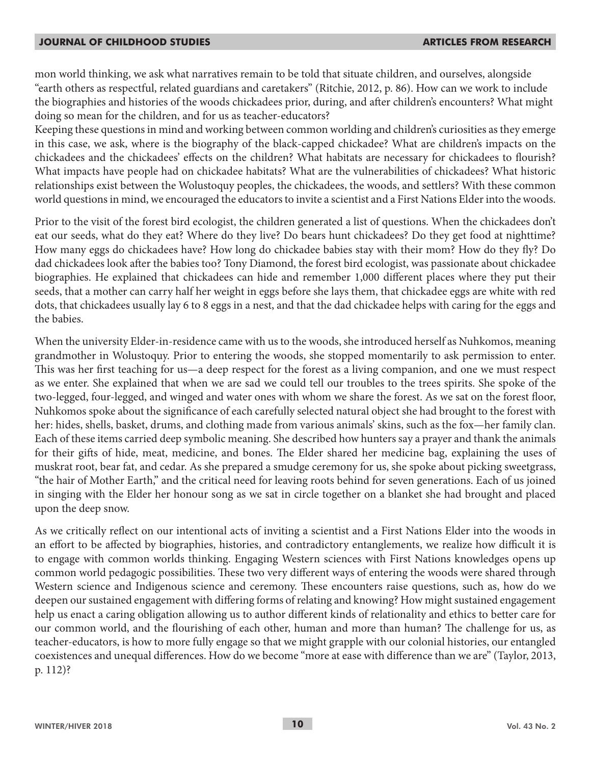mon world thinking, we ask what narratives remain to be told that situate children, and ourselves, alongside "earth others as respectful, related guardians and caretakers" (Ritchie, 2012, p. 86). How can we work to include the biographies and histories of the woods chickadees prior, during, and after children's encounters? What might doing so mean for the children, and for us as teacher-educators?

Keeping these questions in mind and working between common worlding and children's curiosities as they emerge in this case, we ask, where is the biography of the black-capped chickadee? What are children's impacts on the chickadees and the chickadees' effects on the children? What habitats are necessary for chickadees to flourish? What impacts have people had on chickadee habitats? What are the vulnerabilities of chickadees? What historic relationships exist between the Wolustoquy peoples, the chickadees, the woods, and settlers? With these common world questions in mind, we encouraged the educators to invite a scientist and a First Nations Elder into the woods.

Prior to the visit of the forest bird ecologist, the children generated a list of questions. When the chickadees don't eat our seeds, what do they eat? Where do they live? Do bears hunt chickadees? Do they get food at nighttime? How many eggs do chickadees have? How long do chickadee babies stay with their mom? How do they fly? Do dad chickadees look after the babies too? Tony Diamond, the forest bird ecologist, was passionate about chickadee biographies. He explained that chickadees can hide and remember 1,000 different places where they put their seeds, that a mother can carry half her weight in eggs before she lays them, that chickadee eggs are white with red dots, that chickadees usually lay 6 to 8 eggs in a nest, and that the dad chickadee helps with caring for the eggs and the babies.

When the university Elder-in-residence came with us to the woods, she introduced herself as Nuhkomos, meaning grandmother in Wolustoquy. Prior to entering the woods, she stopped momentarily to ask permission to enter. This was her first teaching for us—a deep respect for the forest as a living companion, and one we must respect as we enter. She explained that when we are sad we could tell our troubles to the trees spirits. She spoke of the two-legged, four-legged, and winged and water ones with whom we share the forest. As we sat on the forest floor, Nuhkomos spoke about the significance of each carefully selected natural object she had brought to the forest with her: hides, shells, basket, drums, and clothing made from various animals' skins, such as the fox—her family clan. Each of these items carried deep symbolic meaning. She described how hunters say a prayer and thank the animals for their gifts of hide, meat, medicine, and bones. The Elder shared her medicine bag, explaining the uses of muskrat root, bear fat, and cedar. As she prepared a smudge ceremony for us, she spoke about picking sweetgrass, "the hair of Mother Earth," and the critical need for leaving roots behind for seven generations. Each of us joined in singing with the Elder her honour song as we sat in circle together on a blanket she had brought and placed upon the deep snow.

As we critically reflect on our intentional acts of inviting a scientist and a First Nations Elder into the woods in an effort to be affected by biographies, histories, and contradictory entanglements, we realize how difficult it is to engage with common worlds thinking. Engaging Western sciences with First Nations knowledges opens up common world pedagogic possibilities. These two very different ways of entering the woods were shared through Western science and Indigenous science and ceremony. These encounters raise questions, such as, how do we deepen our sustained engagement with differing forms of relating and knowing? How might sustained engagement help us enact a caring obligation allowing us to author different kinds of relationality and ethics to better care for our common world, and the flourishing of each other, human and more than human? The challenge for us, as teacher-educators, is how to more fully engage so that we might grapple with our colonial histories, our entangled coexistences and unequal differences. How do we become "more at ease with difference than we are" (Taylor, 2013, p. 112)?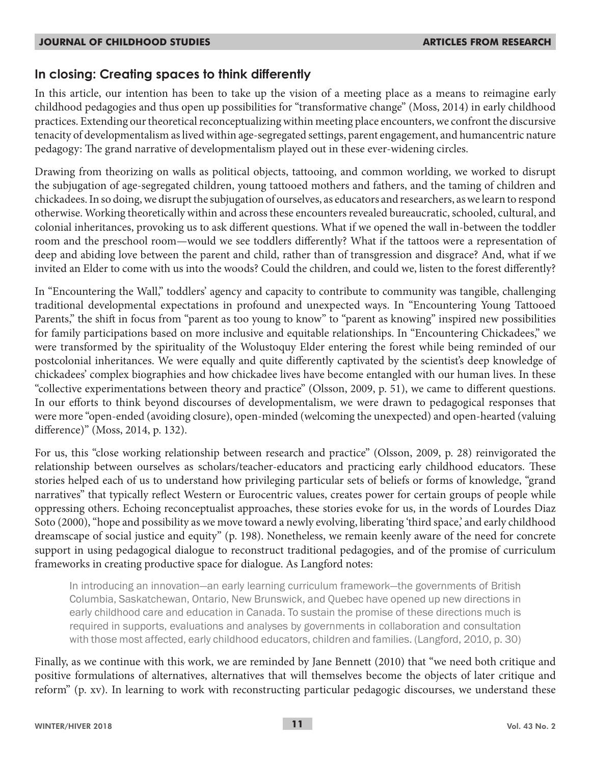## **In closing: Creating spaces to think differently**

In this article, our intention has been to take up the vision of a meeting place as a means to reimagine early childhood pedagogies and thus open up possibilities for "transformative change" (Moss, 2014) in early childhood practices. Extending our theoretical reconceptualizing within meeting place encounters, we confront the discursive tenacity of developmentalism as lived within age-segregated settings, parent engagement, and humancentric nature pedagogy: The grand narrative of developmentalism played out in these ever-widening circles.

Drawing from theorizing on walls as political objects, tattooing, and common worlding, we worked to disrupt the subjugation of age-segregated children, young tattooed mothers and fathers, and the taming of children and chickadees. In so doing, we disrupt the subjugation of ourselves, as educators and researchers, as we learn to respond otherwise. Working theoretically within and across these encounters revealed bureaucratic, schooled, cultural, and colonial inheritances, provoking us to ask different questions. What if we opened the wall in-between the toddler room and the preschool room—would we see toddlers differently? What if the tattoos were a representation of deep and abiding love between the parent and child, rather than of transgression and disgrace? And, what if we invited an Elder to come with us into the woods? Could the children, and could we, listen to the forest differently?

In "Encountering the Wall," toddlers' agency and capacity to contribute to community was tangible, challenging traditional developmental expectations in profound and unexpected ways. In "Encountering Young Tattooed Parents," the shift in focus from "parent as too young to know" to "parent as knowing" inspired new possibilities for family participations based on more inclusive and equitable relationships. In "Encountering Chickadees," we were transformed by the spirituality of the Wolustoquy Elder entering the forest while being reminded of our postcolonial inheritances. We were equally and quite differently captivated by the scientist's deep knowledge of chickadees' complex biographies and how chickadee lives have become entangled with our human lives. In these "collective experimentations between theory and practice" (Olsson, 2009, p. 51), we came to different questions. In our efforts to think beyond discourses of developmentalism, we were drawn to pedagogical responses that were more "open-ended (avoiding closure), open-minded (welcoming the unexpected) and open-hearted (valuing difference)" (Moss, 2014, p. 132).

For us, this "close working relationship between research and practice" (Olsson, 2009, p. 28) reinvigorated the relationship between ourselves as scholars/teacher-educators and practicing early childhood educators. These stories helped each of us to understand how privileging particular sets of beliefs or forms of knowledge, "grand narratives" that typically reflect Western or Eurocentric values, creates power for certain groups of people while oppressing others. Echoing reconceptualist approaches, these stories evoke for us, in the words of Lourdes Diaz Soto (2000), "hope and possibility as we move toward a newly evolving, liberating 'third space,' and early childhood dreamscape of social justice and equity" (p. 198). Nonetheless, we remain keenly aware of the need for concrete support in using pedagogical dialogue to reconstruct traditional pedagogies, and of the promise of curriculum frameworks in creating productive space for dialogue. As Langford notes:

In introducing an innovation—an early learning curriculum framework—the governments of British Columbia, Saskatchewan, Ontario, New Brunswick, and Quebec have opened up new directions in early childhood care and education in Canada. To sustain the promise of these directions much is required in supports, evaluations and analyses by governments in collaboration and consultation with those most affected, early childhood educators, children and families. (Langford, 2010, p. 30)

Finally, as we continue with this work, we are reminded by Jane Bennett (2010) that "we need both critique and positive formulations of alternatives, alternatives that will themselves become the objects of later critique and reform" (p. xv). In learning to work with reconstructing particular pedagogic discourses, we understand these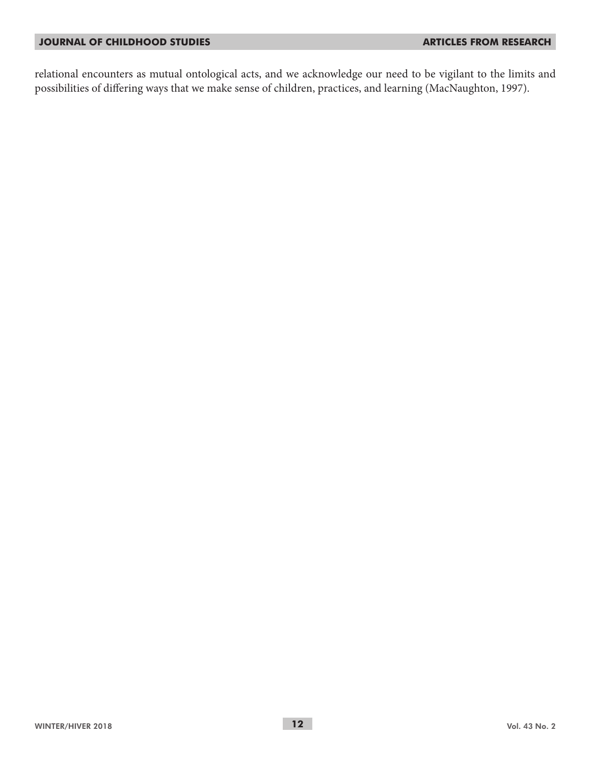relational encounters as mutual ontological acts, and we acknowledge our need to be vigilant to the limits and possibilities of differing ways that we make sense of children, practices, and learning (MacNaughton, 1997).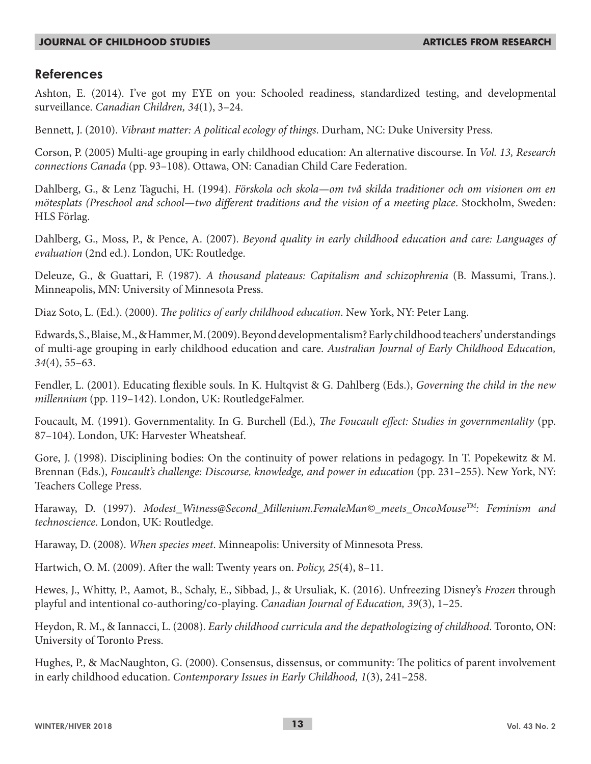## **References**

Ashton, E. (2014). I've got my EYE on you: Schooled readiness, standardized testing, and developmental surveillance. *Canadian Children, 34*(1), 3–24.

Bennett, J. (2010). *Vibrant matter: A political ecology of things*. Durham, NC: Duke University Press.

Corson, P. (2005) Multi-age grouping in early childhood education: An alternative discourse. In *Vol. 13, Research connections Canada* (pp. 93–108). Ottawa, ON: Canadian Child Care Federation.

Dahlberg, G., & Lenz Taguchi, H. (1994). *Förskola och skola—om två skilda traditioner och om visionen om en mötesplats (Preschool and school—two different traditions and the vision of a meeting place*. Stockholm, Sweden: HLS Förlag.

Dahlberg, G., Moss, P., & Pence, A. (2007). *Beyond quality in early childhood education and care: Languages of evaluation* (2nd ed.). London, UK: Routledge.

Deleuze, G., & Guattari, F. (1987). *A thousand plateaus: Capitalism and schizophrenia* (B. Massumi, Trans.). Minneapolis, MN: University of Minnesota Press.

Diaz Soto, L. (Ed.). (2000). *The politics of early childhood education*. New York, NY: Peter Lang.

Edwards, S., Blaise, M., & Hammer, M. (2009). Beyond developmentalism? Early childhood teachers' understandings of multi-age grouping in early childhood education and care. *Australian Journal of Early Childhood Education, 34*(4), 55–63.

Fendler, L. (2001). Educating flexible souls. In K. Hultqvist & G. Dahlberg (Eds.), *Governing the child in the new millennium* (pp. 119–142). London, UK: RoutledgeFalmer.

Foucault, M. (1991). Governmentality. In G. Burchell (Ed.), *The Foucault effect: Studies in governmentality* (pp. 87–104). London, UK: Harvester Wheatsheaf.

Gore, J. (1998). Disciplining bodies: On the continuity of power relations in pedagogy. In T. Popekewitz & M. Brennan (Eds.), *Foucault's challenge: Discourse, knowledge, and power in education* (pp. 231–255). New York, NY: Teachers College Press.

Haraway, D. (1997). *Modest\_Witness@Second\_Millenium.FemaleMan©\_meets\_OncoMouseTM: Feminism and technoscience*. London, UK: Routledge.

Haraway, D. (2008). *When species meet*. Minneapolis: University of Minnesota Press.

Hartwich, O. M. (2009). After the wall: Twenty years on. *Policy, 25*(4), 8–11.

Hewes, J., Whitty, P., Aamot, B., Schaly, E., Sibbad, J., & Ursuliak, K. (2016). Unfreezing Disney's *Frozen* through playful and intentional co-authoring/co-playing. *Canadian Journal of Education, 39*(3), 1–25.

Heydon, R. M., & Iannacci, L. (2008). *Early childhood curricula and the depathologizing of childhood*. Toronto, ON: University of Toronto Press.

Hughes, P., & MacNaughton, G. (2000). Consensus, dissensus, or community: The politics of parent involvement in early childhood education. *Contemporary Issues in Early Childhood, 1*(3), 241–258.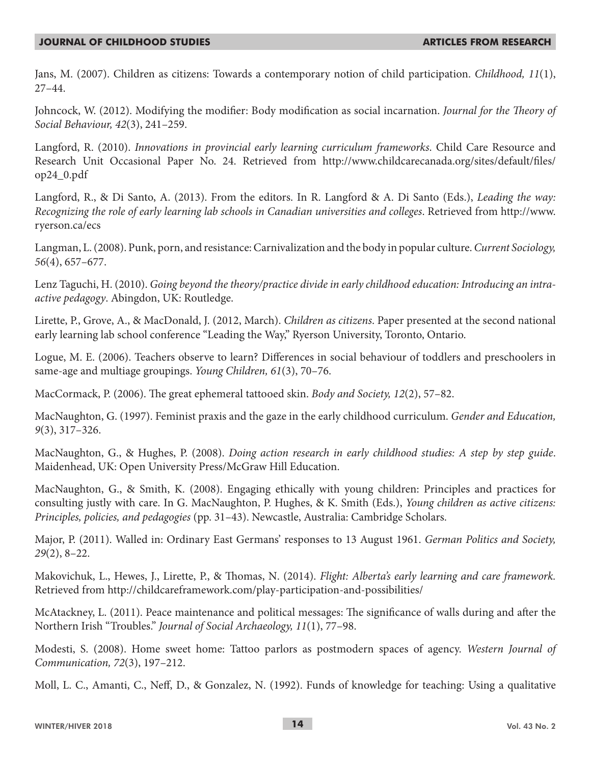Jans, M. (2007). Children as citizens: Towards a contemporary notion of child participation. *Childhood, 11*(1), 27–44.

Johncock, W. (2012). Modifying the modifier: Body modification as social incarnation. *Journal for the Theory of Social Behaviour, 42*(3), 241–259.

Langford, R. (2010). *Innovations in provincial early learning curriculum frameworks*. Child Care Resource and Research Unit Occasional Paper No. 24. Retrieved from http://www.childcarecanada.org/sites/default/files/ op24\_0.pdf

Langford, R., & Di Santo, A. (2013). From the editors. In R. Langford & A. Di Santo (Eds.), *Leading the way: Recognizing the role of early learning lab schools in Canadian universities and colleges*. Retrieved from http://www. ryerson.ca/ecs

Langman, L. (2008). Punk, porn, and resistance: Carnivalization and the body in popular culture. *Current Sociology, 56*(4), 657–677.

Lenz Taguchi, H. (2010). *Going beyond the theory/practice divide in early childhood education: Introducing an intraactive pedagogy*. Abingdon, UK: Routledge.

Lirette, P., Grove, A., & MacDonald, J. (2012, March). *Children as citizens*. Paper presented at the second national early learning lab school conference "Leading the Way," Ryerson University, Toronto, Ontario.

Logue, M. E. (2006). Teachers observe to learn? Differences in social behaviour of toddlers and preschoolers in same-age and multiage groupings. *Young Children, 61*(3), 70–76.

MacCormack, P. (2006). The great ephemeral tattooed skin. *Body and Society, 12*(2), 57–82.

MacNaughton, G. (1997). Feminist praxis and the gaze in the early childhood curriculum. *Gender and Education, 9*(3), 317–326.

MacNaughton, G., & Hughes, P. (2008). *Doing action research in early childhood studies: A step by step guide*. Maidenhead, UK: Open University Press/McGraw Hill Education.

MacNaughton, G., & Smith, K. (2008). Engaging ethically with young children: Principles and practices for consulting justly with care. In G. MacNaughton, P. Hughes, & K. Smith (Eds.), *Young children as active citizens: Principles, policies, and pedagogies* (pp. 31–43). Newcastle, Australia: Cambridge Scholars.

Major, P. (2011). Walled in: Ordinary East Germans' responses to 13 August 1961. *German Politics and Society, 29*(2), 8–22.

Makovichuk, L., Hewes, J., Lirette, P., & Thomas, N. (2014). *Flight: Alberta's early learning and care framework.*  Retrieved from http://childcareframework.com/play-participation-and-possibilities/

McAtackney, L. (2011). Peace maintenance and political messages: The significance of walls during and after the Northern Irish "Troubles." *Journal of Social Archaeology, 11*(1), 77–98.

Modesti, S. (2008). Home sweet home: Tattoo parlors as postmodern spaces of agency. *Western Journal of Communication, 72*(3), 197–212.

Moll, L. C., Amanti, C., Neff, D., & Gonzalez, N. (1992). Funds of knowledge for teaching: Using a qualitative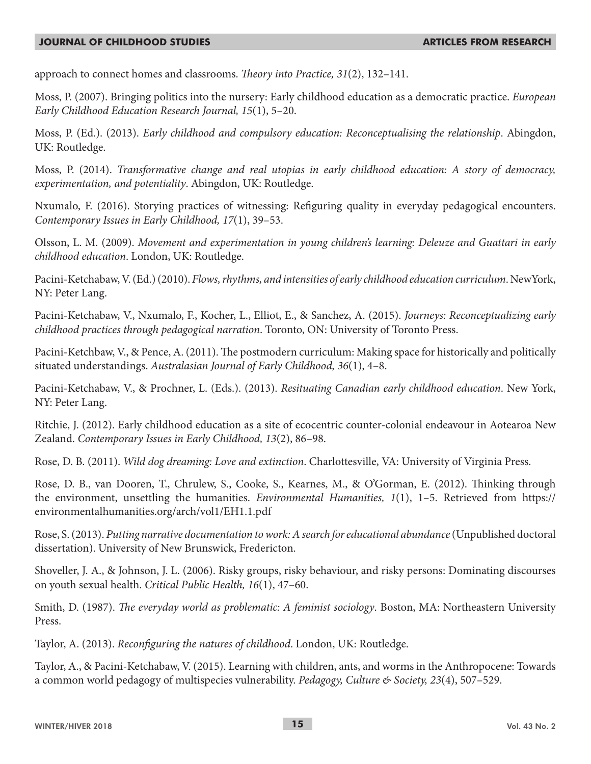approach to connect homes and classrooms. *Theory into Practice, 31*(2), 132–141.

Moss, P. (2007). Bringing politics into the nursery: Early childhood education as a democratic practice. *European Early Childhood Education Research Journal, 15*(1), 5–20.

Moss, P. (Ed.). (2013). *Early childhood and compulsory education: Reconceptualising the relationship*. Abingdon, UK: Routledge.

Moss, P. (2014). *Transformative change and real utopias in early childhood education: A story of democracy, experimentation, and potentiality*. Abingdon, UK: Routledge.

Nxumalo, F. (2016). Storying practices of witnessing: Refiguring quality in everyday pedagogical encounters. *Contemporary Issues in Early Childhood, 17*(1), 39–53.

Olsson, L. M. (2009). *Movement and experimentation in young children's learning: Deleuze and Guattari in early childhood education*. London, UK: Routledge.

Pacini-Ketchabaw, V. (Ed.) (2010). *Flows, rhythms, and intensities of early childhood education curriculum*. NewYork, NY: Peter Lang.

Pacini-Ketchabaw, V., Nxumalo, F., Kocher, L., Elliot, E., & Sanchez, A. (2015). *Journeys: Reconceptualizing early childhood practices through pedagogical narration*. Toronto, ON: University of Toronto Press.

Pacini-Ketchbaw, V., & Pence, A. (2011). The postmodern curriculum: Making space for historically and politically situated understandings. *Australasian Journal of Early Childhood, 36*(1), 4–8.

Pacini-Ketchabaw, V., & Prochner, L. (Eds.). (2013). *Resituating Canadian early childhood education*. New York, NY: Peter Lang.

Ritchie, J. (2012). Early childhood education as a site of ecocentric counter-colonial endeavour in Aotearoa New Zealand. *Contemporary Issues in Early Childhood, 13*(2), 86–98.

Rose, D. B. (2011). *Wild dog dreaming: Love and extinction*. Charlottesville, VA: University of Virginia Press.

Rose, D. B., van Dooren, T., Chrulew, S., Cooke, S., Kearnes, M., & O'Gorman, E. (2012). Thinking through the environment, unsettling the humanities. *Environmental Humanities, 1*(1), 1–5. Retrieved from https:// environmentalhumanities.org/arch/vol1/EH1.1.pdf

Rose, S. (2013). *Putting narrative documentation to work: A search for educational abundance* (Unpublished doctoral dissertation). University of New Brunswick, Fredericton.

Shoveller, J. A., & Johnson, J. L. (2006). Risky groups, risky behaviour, and risky persons: Dominating discourses on youth sexual health. *Critical Public Health, 16*(1), 47–60.

Smith, D. (1987). *The everyday world as problematic: A feminist sociology*. Boston, MA: Northeastern University Press.

Taylor, A. (2013). *Reconfiguring the natures of childhood*. London, UK: Routledge.

Taylor, A., & Pacini-Ketchabaw, V. (2015). Learning with children, ants, and worms in the Anthropocene: Towards a common world pedagogy of multispecies vulnerability. *Pedagogy, Culture & Society, 23*(4), 507–529.